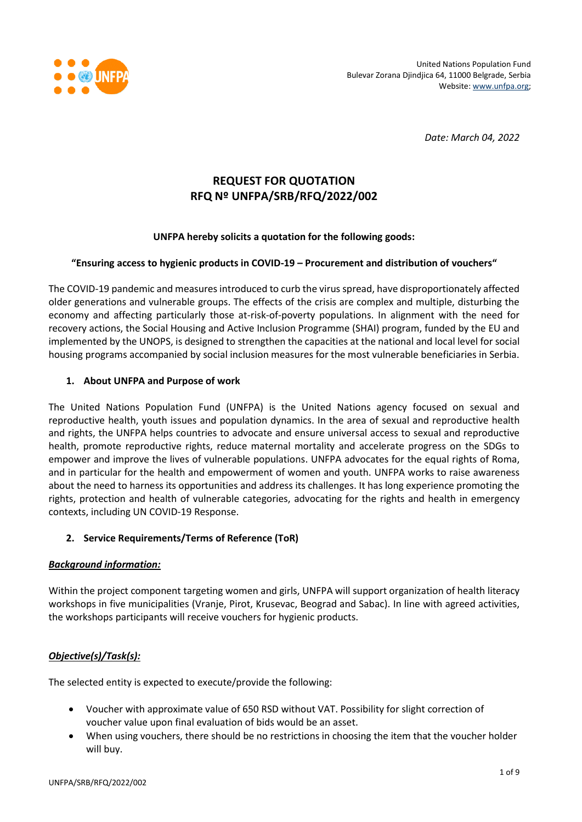

*Date: March 04, 2022*

# **REQUEST FOR QUOTATION RFQ Nº UNFPA/SRB/RFQ/2022/002**

### **UNFPA hereby solicits a quotation for the following goods:**

#### **"Ensuring access to hygienic products in COVID-19 – Procurement and distribution of vouchers"**

The COVID-19 pandemic and measures introduced to curb the virus spread, have disproportionately affected older generations and vulnerable groups. The effects of the crisis are complex and multiple, disturbing the economy and affecting particularly those at-risk-of-poverty populations. In alignment with the need for recovery actions, the Social Housing and Active Inclusion Programme (SHAI) program, funded by the EU and implemented by the UNOPS, is designed to strengthen the capacities at the national and local level for social housing programs accompanied by social inclusion measures for the most vulnerable beneficiaries in Serbia.

### **1. About UNFPA and Purpose of work**

The United Nations Population Fund (UNFPA) is the United Nations agency focused on sexual and reproductive health, youth issues and population dynamics. In the area of sexual and reproductive health and rights, the UNFPA helps countries to advocate and ensure universal access to sexual and reproductive health, promote reproductive rights, reduce maternal mortality and accelerate progress on the SDGs to empower and improve the lives of vulnerable populations. UNFPA advocates for the equal rights of Roma, and in particular for the health and empowerment of women and youth. UNFPA works to raise awareness about the need to harness its opportunities and address its challenges. It has long experience promoting the rights, protection and health of vulnerable categories, advocating for the rights and health in emergency contexts, including UN COVID-19 Response.

#### **2. Service Requirements/Terms of Reference (ToR)**

#### *Background information:*

Within the project component targeting women and girls, UNFPA will support organization of health literacy workshops in five municipalities (Vranje, Pirot, Krusevac, Beograd and Sabac). In line with agreed activities, the workshops participants will receive vouchers for hygienic products.

## *Objective(s)/Task(s):*

The selected entity is expected to execute/provide the following:

- Voucher with approximate value of 650 RSD without VAT. Possibility for slight correction of voucher value upon final evaluation of bids would be an asset.
- When using vouchers, there should be no restrictions in choosing the item that the voucher holder will buy.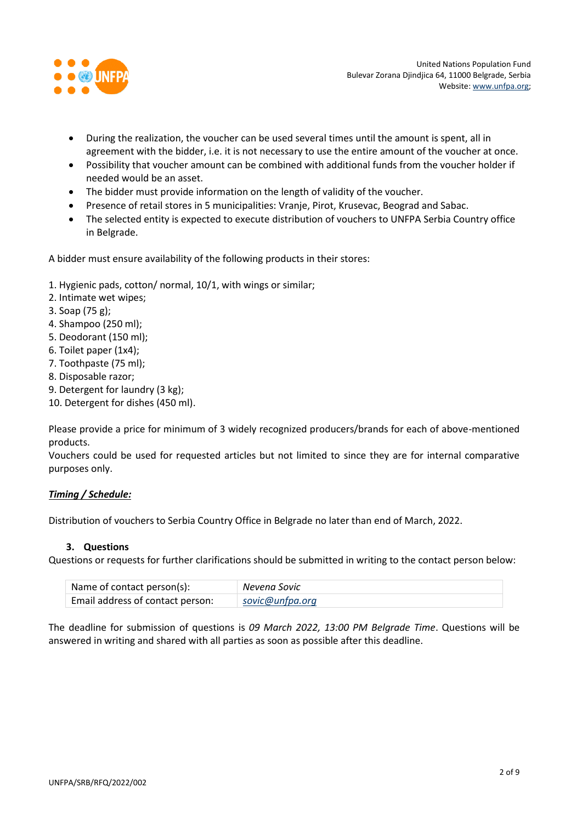

- During the realization, the voucher can be used several times until the amount is spent, all in agreement with the bidder, i.e. it is not necessary to use the entire amount of the voucher at once.
- Possibility that voucher amount can be combined with additional funds from the voucher holder if needed would be an asset.
- The bidder must provide information on the length of validity of the voucher.
- Presence of retail stores in 5 municipalities: Vranje, Pirot, Krusevac, Beograd and Sabac.
- The selected entity is expected to execute distribution of vouchers to UNFPA Serbia Country office in Belgrade.

A bidder must ensure availability of the following products in their stores:

- 1. Hygienic pads, cotton/ normal, 10/1, with wings or similar;
- 2. Intimate wet wipes;
- 3. Soap (75 g);
- 4. Shampoo (250 ml);
- 5. Deodorant (150 ml);
- 6. Toilet paper (1x4);
- 7. Toothpaste (75 ml);
- 8. Disposable razor;
- 9. Detergent for laundry (3 kg);
- 10. Detergent for dishes (450 ml).

Please provide a price for minimum of 3 widely recognized producers/brands for each of above-mentioned products.

Vouchers could be used for requested articles but not limited to since they are for internal comparative purposes only.

# *Timing / Schedule:*

Distribution of vouchers to Serbia Country Office in Belgrade no later than end of March, 2022.

#### **3. Questions**

Questions or requests for further clarifications should be submitted in writing to the contact person below:

| Name of contact person(s):       | Nevena Sovic    |
|----------------------------------|-----------------|
| Email address of contact person: | sovic@unfpa.org |

The deadline for submission of questions is *09 March 2022, 13:00 PM Belgrade Time*. Questions will be answered in writing and shared with all parties as soon as possible after this deadline.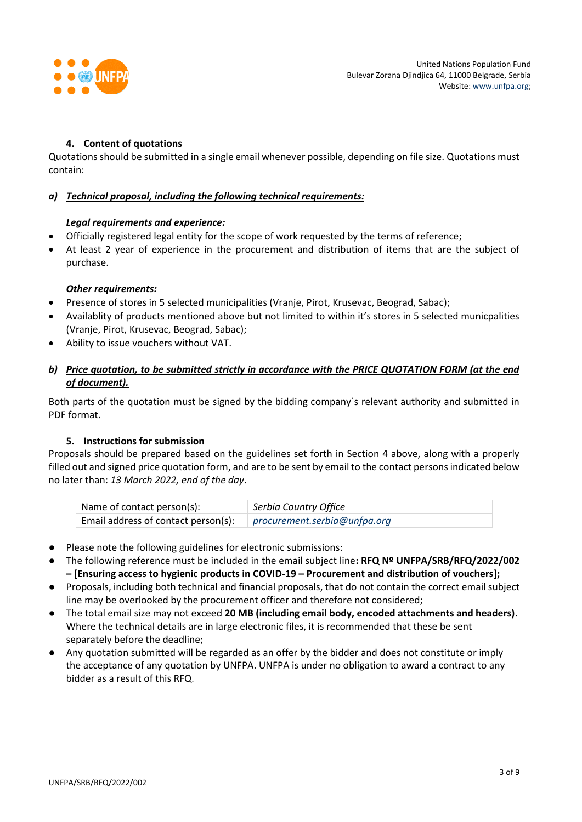

## **4. Content of quotations**

Quotations should be submitted in a single email whenever possible, depending on file size. Quotations must contain:

### *a) Technical proposal, including the following technical requirements:*

### *Legal requirements and experience:*

- Officially registered legal entity for the scope of work requested by the terms of reference;
- At least 2 year of experience in the procurement and distribution of items that are the subject of purchase.

### *Other requirements:*

- Presence of stores in 5 selected municipalities (Vranje, Pirot, Krusevac, Beograd, Sabac);
- Availablity of products mentioned above but not limited to within it's stores in 5 selected municpalities (Vranje, Pirot, Krusevac, Beograd, Sabac);
- Ability to issue vouchers without VAT.

## *b) Price quotation, to be submitted strictly in accordance with the PRICE QUOTATION FORM (at the end of document).*

Both parts of the quotation must be signed by the bidding company`s relevant authority and submitted in PDF format.

#### **5. Instructions for submission**

Proposals should be prepared based on the guidelines set forth in Section 4 above, along with a properly filled out and signed price quotation form, and are to be sent by email to the contact persons indicated below no later than: *13 March 2022, end of the day*.

| Name of contact person(s):          | Serbia Country Office        |
|-------------------------------------|------------------------------|
| Email address of contact person(s): | procurement.serbia@unfpa.org |

- Please note the following guidelines for electronic submissions:
- The following reference must be included in the email subject line**: RFQ Nº UNFPA/SRB/RFQ/2022/002 – [Ensuring access to hygienic products in COVID-19 – Procurement and distribution of vouchers];**
- Proposals, including both technical and financial proposals, that do not contain the correct email subject line may be overlooked by the procurement officer and therefore not considered;
- The total email size may not exceed **20 MB (including email body, encoded attachments and headers)**. Where the technical details are in large electronic files, it is recommended that these be sent separately before the deadline;
- Any quotation submitted will be regarded as an offer by the bidder and does not constitute or imply the acceptance of any quotation by UNFPA. UNFPA is under no obligation to award a contract to any bidder as a result of this RFQ.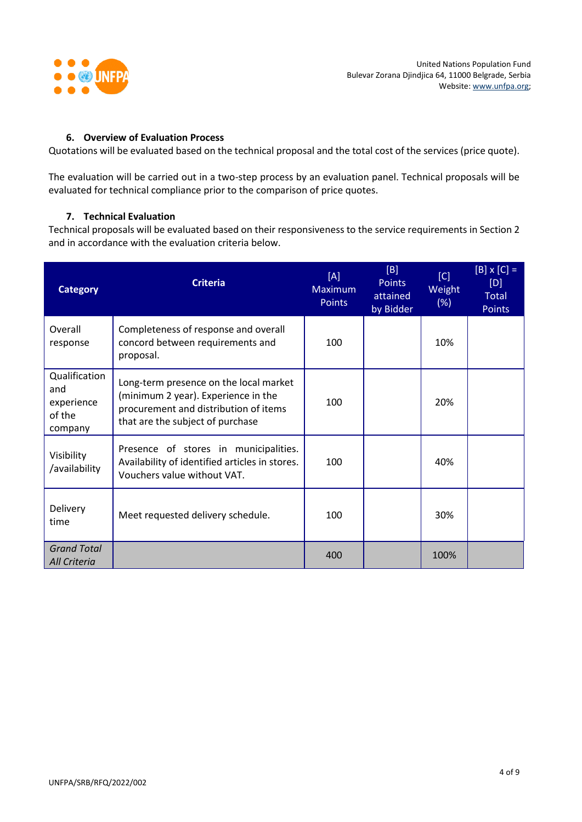

#### **6. Overview of Evaluation Process**

Quotations will be evaluated based on the technical proposal and the total cost of the services (price quote).

The evaluation will be carried out in a two-step process by an evaluation panel. Technical proposals will be evaluated for technical compliance prior to the comparison of price quotes.

### **7. Technical Evaluation**

Technical proposals will be evaluated based on their responsiveness to the service requirements in Section 2 and in accordance with the evaluation criteria below.

| <b>Category</b>                                         | <b>Criteria</b>                                                                                                                                            | [A]<br><b>Maximum</b><br><b>Points</b> | [B]<br><b>Points</b><br>attained<br>by Bidder | [C]<br>Weight<br>(%) | $[B] \times [C] =$<br>[D]<br><b>Total</b><br><b>Points</b> |
|---------------------------------------------------------|------------------------------------------------------------------------------------------------------------------------------------------------------------|----------------------------------------|-----------------------------------------------|----------------------|------------------------------------------------------------|
| Overall<br>response                                     | Completeness of response and overall<br>concord between requirements and<br>proposal.                                                                      | 100                                    |                                               | 10%                  |                                                            |
| Qualification<br>and<br>experience<br>of the<br>company | Long-term presence on the local market<br>(minimum 2 year). Experience in the<br>procurement and distribution of items<br>that are the subject of purchase | 100                                    |                                               | 20%                  |                                                            |
| Visibility<br>/availability                             | Presence of stores in municipalities.<br>Availability of identified articles in stores.<br>Vouchers value without VAT.                                     | 100                                    |                                               | 40%                  |                                                            |
| Delivery<br>time                                        | Meet requested delivery schedule.                                                                                                                          | 100                                    |                                               | 30%                  |                                                            |
| <b>Grand Total</b><br>All Criteria                      |                                                                                                                                                            | 400                                    |                                               | 100%                 |                                                            |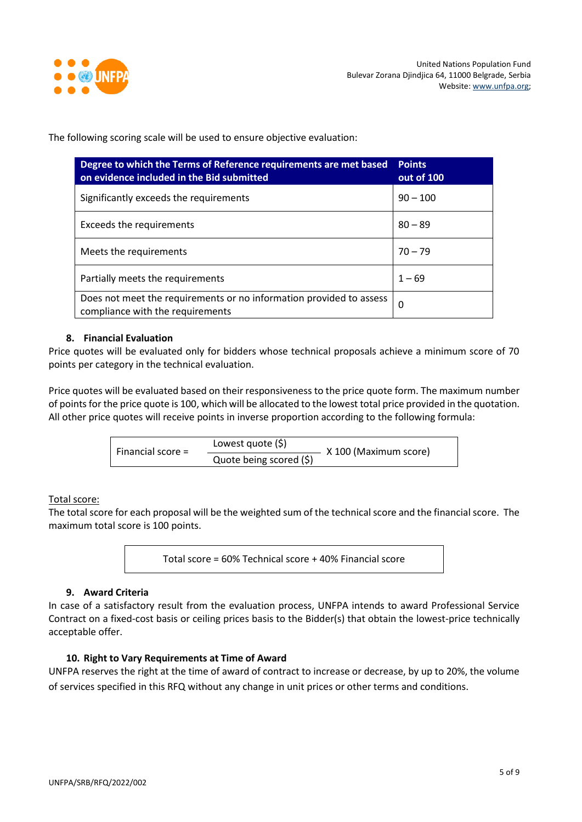

The following scoring scale will be used to ensure objective evaluation:

| Degree to which the Terms of Reference requirements are met based<br>on evidence included in the Bid submitted | <b>Points</b><br>out of 100 |
|----------------------------------------------------------------------------------------------------------------|-----------------------------|
| Significantly exceeds the requirements                                                                         | $90 - 100$                  |
| <b>Exceeds the requirements</b>                                                                                | $80 - 89$                   |
| Meets the requirements                                                                                         | $70 - 79$                   |
| Partially meets the requirements                                                                               | $1 - 69$                    |
| Does not meet the requirements or no information provided to assess<br>compliance with the requirements        | 0                           |

#### **8. Financial Evaluation**

Price quotes will be evaluated only for bidders whose technical proposals achieve a minimum score of 70 points per category in the technical evaluation.

Price quotes will be evaluated based on their responsiveness to the price quote form. The maximum number of points for the price quote is 100, which will be allocated to the lowest total price provided in the quotation. All other price quotes will receive points in inverse proportion according to the following formula:

| Financial score $=$ | Lowest quote $(5)$      | X 100 (Maximum score) |
|---------------------|-------------------------|-----------------------|
|                     | Quote being scored (\$) |                       |

#### Total score:

The total score for each proposal will be the weighted sum of the technical score and the financial score. The maximum total score is 100 points.

Total score = 60% Technical score + 40% Financial score

#### **9. Award Criteria**

In case of a satisfactory result from the evaluation process, UNFPA intends to award Professional Service Contract on a fixed-cost basis or ceiling prices basis to the Bidder(s) that obtain the lowest-price technically acceptable offer.

#### **10. Right to Vary Requirements at Time of Award**

UNFPA reserves the right at the time of award of contract to increase or decrease, by up to 20%, the volume of services specified in this RFQ without any change in unit prices or other terms and conditions.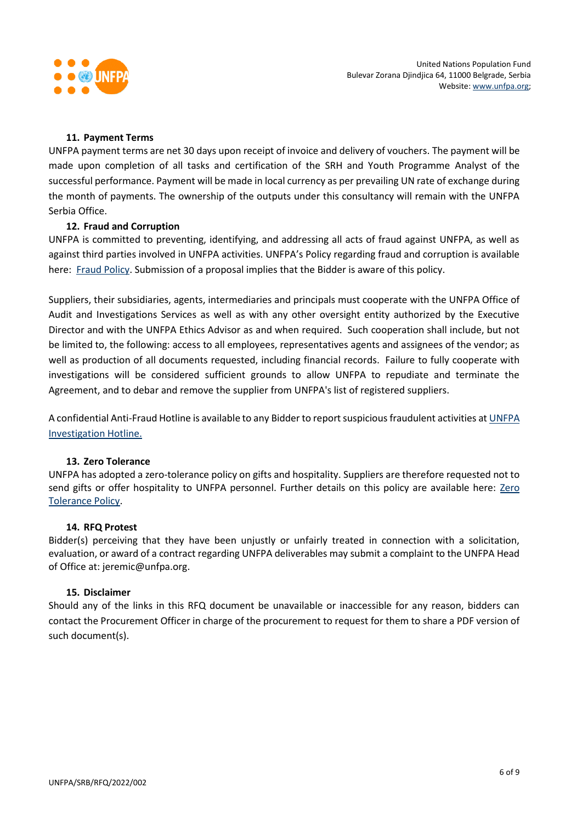

#### **11. Payment Terms**

UNFPA payment terms are net 30 days upon receipt of invoice and delivery of vouchers. The payment will be made upon completion of all tasks and certification of the SRH and Youth Programme Analyst of the successful performance. Payment will be made in local currency as per prevailing UN rate of exchange during the month of payments. The ownership of the outputs under this consultancy will remain with the UNFPA Serbia Office.

#### **12. [Fraud and Corruption](http://www.unfpa.org/about-procurement#FraudCorruption)**

UNFPA is committed to preventing, identifying, and addressing all acts of fraud against UNFPA, as well as against third parties involved in UNFPA activities. UNFPA's Policy regarding fraud and corruption is available here: [Fraud Policy.](http://www.unfpa.org/resources/fraud-policy-2009#overlay-context=node/10356/draft) Submission of a proposal implies that the Bidder is aware of this policy.

Suppliers, their subsidiaries, agents, intermediaries and principals must cooperate with the UNFPA Office of Audit and Investigations Services as well as with any other oversight entity authorized by the Executive Director and with the UNFPA Ethics Advisor as and when required. Such cooperation shall include, but not be limited to, the following: access to all employees, representatives agents and assignees of the vendor; as well as production of all documents requested, including financial records. Failure to fully cooperate with investigations will be considered sufficient grounds to allow UNFPA to repudiate and terminate the Agreement, and to debar and remove the supplier from UNFPA's list of registered suppliers.

A confidential Anti-Fraud Hotline is available to any Bidder to report suspicious fraudulent activities a[t UNFPA](http://web2.unfpa.org/help/hotline.cfm)  [Investigation Hotline.](http://web2.unfpa.org/help/hotline.cfm)

#### **13. Zero Tolerance**

UNFPA has adopted a zero-tolerance policy on gifts and hospitality. Suppliers are therefore requested not to send gifts or offer hospitality to UNFPA personnel. Further details on this policy are available here: [Zero](http://www.unfpa.org/about-procurement#ZeroTolerance)  [Tolerance Policy.](http://www.unfpa.org/about-procurement#ZeroTolerance)

#### **14. RFQ Protest**

Bidder(s) perceiving that they have been unjustly or unfairly treated in connection with a solicitation, evaluation, or award of a contract regarding UNFPA deliverables may submit a complaint to the UNFPA Head of Office at: jeremic@unfpa.org.

#### **15. Disclaimer**

Should any of the links in this RFQ document be unavailable or inaccessible for any reason, bidders can contact the Procurement Officer in charge of the procurement to request for them to share a PDF version of such document(s).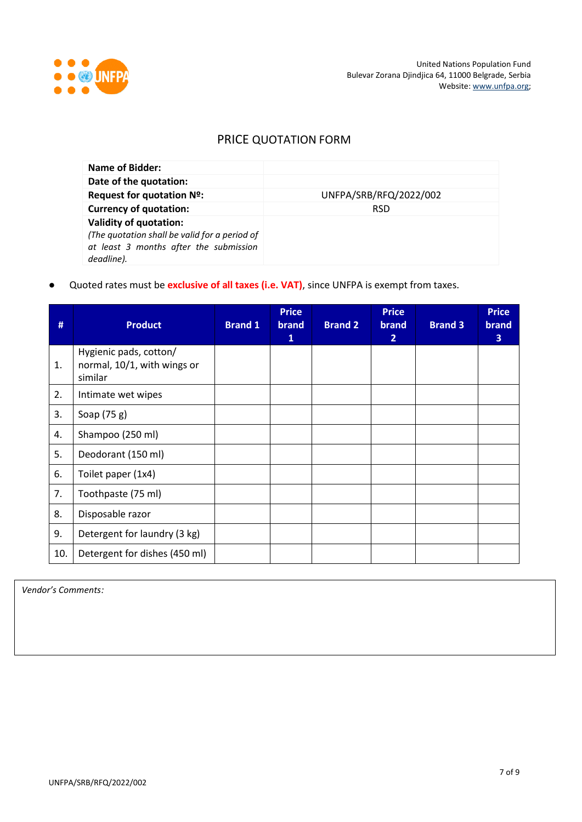

# PRICE QUOTATION FORM

| Name of Bidder:                                                                                                                        |                        |
|----------------------------------------------------------------------------------------------------------------------------------------|------------------------|
| Date of the quotation:                                                                                                                 |                        |
| Request for quotation Nº:                                                                                                              | UNFPA/SRB/RFQ/2022/002 |
| <b>Currency of quotation:</b>                                                                                                          | <b>RSD</b>             |
| <b>Validity of quotation:</b><br>(The quotation shall be valid for a period of<br>at least 3 months after the submission<br>deadline). |                        |

● Quoted rates must be **exclusive of all taxes (i.e. VAT)**, since UNFPA is exempt from taxes.

| #   | <b>Product</b>                                                   | <b>Brand 1</b> | <b>Price</b><br>brand<br>$\mathbf{1}$ | <b>Brand 2</b> | <b>Price</b><br>brand<br>$\overline{2}$ | <b>Brand 3</b> | <b>Price</b><br><b>brand</b><br>3 |
|-----|------------------------------------------------------------------|----------------|---------------------------------------|----------------|-----------------------------------------|----------------|-----------------------------------|
| 1.  | Hygienic pads, cotton/<br>normal, 10/1, with wings or<br>similar |                |                                       |                |                                         |                |                                   |
| 2.  | Intimate wet wipes                                               |                |                                       |                |                                         |                |                                   |
| 3.  | Soap (75 g)                                                      |                |                                       |                |                                         |                |                                   |
| 4.  | Shampoo (250 ml)                                                 |                |                                       |                |                                         |                |                                   |
| 5.  | Deodorant (150 ml)                                               |                |                                       |                |                                         |                |                                   |
| 6.  | Toilet paper (1x4)                                               |                |                                       |                |                                         |                |                                   |
| 7.  | Toothpaste (75 ml)                                               |                |                                       |                |                                         |                |                                   |
| 8.  | Disposable razor                                                 |                |                                       |                |                                         |                |                                   |
| 9.  | Detergent for laundry (3 kg)                                     |                |                                       |                |                                         |                |                                   |
| 10. | Detergent for dishes (450 ml)                                    |                |                                       |                |                                         |                |                                   |

*Vendor's Comments:*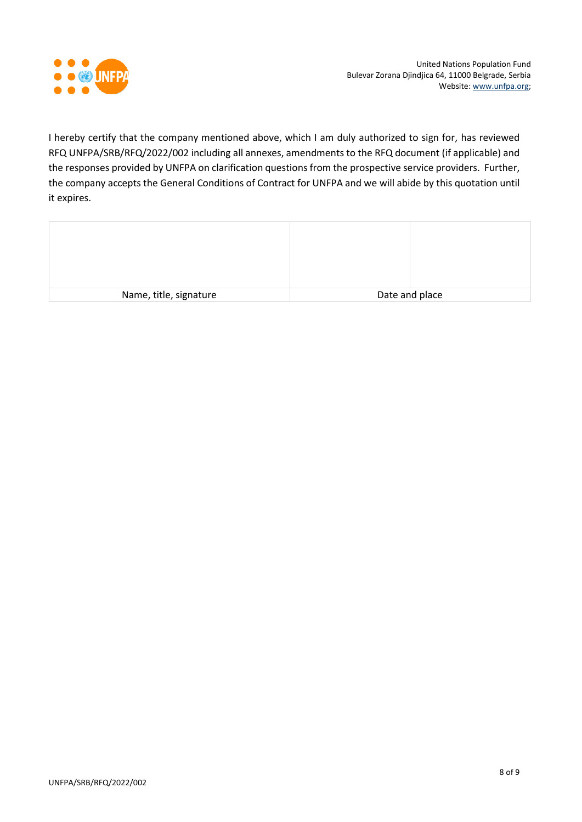

I hereby certify that the company mentioned above, which I am duly authorized to sign for, has reviewed RFQ UNFPA/SRB/RFQ/2022/002 including all annexes, amendments to the RFQ document (if applicable) and the responses provided by UNFPA on clarification questions from the prospective service providers. Further, the company accepts the General Conditions of Contract for UNFPA and we will abide by this quotation until it expires.

| Name, title, signature | Date and place |
|------------------------|----------------|